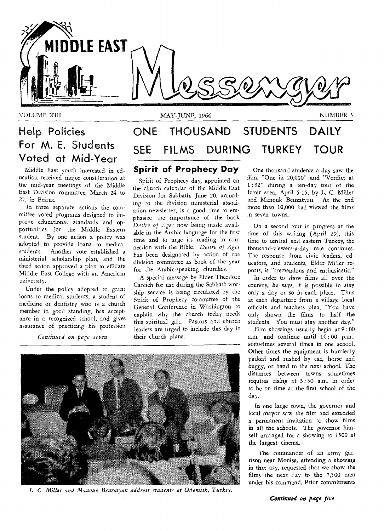

ausfahren ausgeben der Antikel VOLUME XIII

MAY-JUNE, 1964 NUMBER 3

# **Help Policies For M. E. Students Voted at Mid-Year**

Middle East youth interested in education received major consideration at the mid-year meetings of the Middle East Division committee, March 24 to 27, in Beirut.

In three separate actions the committee voted programs designed to improve educational standards and opportunities for the Middle Eastern student. By one action a policy was adopted to provide loans to medical students. Another vote established a ministerial scholarship plan, and the third action approved a plan to affiliate Middle East College with an American university.

Under the policy adopted to grant loans to medical students, a student of medicine or dentistry who is a church member in good standing, has acceptance in a recognized school, and gives assurance of practicing his profession

*Continued on page seven* 

# **ONE THOUSAND STUDENTS SEE FILMS DURING TURKEY DAILY TOUR**

# **Spirit of Prophecy Day**

Spirit of Prophecy day, appointed on the church calendar of the Middle East Division for Sabbath, June 20, according to the division ministerial association newsletter, is a good time to emphasize the importance of the book *Desire of Ages* now being made available in the Arabic language for the first time and to urge its reading in connecdon with the Bible. *Desire of Ages*  has been designated by action of the division committee as book of the year for the Arabic-speaking churches.

A special message by Elder Theodore Carcich for use during the Sabbath worship service is being circulated by the Spirit of Prophecy committee of the General Conference in Washington to explain why the church today needs this spiritual gift. Pastors and church leaders are urged to include this day in their church plans.



L. *C. Miller and Manouk Benzatyan address students at Odemish, Turkey.* 

One thousand students a day saw the film, "One in 20,000" and "Verdict at 1 : 32" during a ten-day tour of the Izmir area, April 5-15, by L. C. Miller and Manouk Benzatyan. At the end more than 10,000 had viewed the films in seven towns.

On a second tour in progress at the time of this writing (April 29), this time to central and eastern Turkey, the thousand-viewers-a-day rate continues. The response from civic leaders, educators, and students, Elder Miller reports, is "tremendous and enthusiastic."

In order to show films all over the country, he says, it is possible to stay only a day or so in each place. Thus at each departure from a village local officials and teachers plea, "You have only shown the films to half the students. You must stay another day."

Film showings usually begin at 9:00 a.m. and continue until 10:00 p.m., sometimes several times in one school. Other times the equipment is hurriedly packed and rushed by car, horse and buggy, or hand to the next school. The distances between towns sometimes requires rising at 3 : 30 a.m. in order to be on time at the first school of the day.

In one large town, the governor and local mayor saw the film and extended a permanent invitation to show films in all the schools. The governor himself arranged for a showing to 1500 at the largest cinema.

The commander of an army garrison near Monisa, attending a showing in that city, requested that we show the films the next day to the 7,500 men under his command. Prior commitments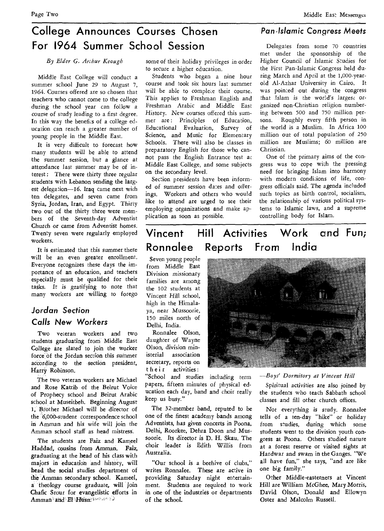# **College Announces Courses Chosen For 1964 Summer School Session**

*By Elder G. Ar;hur Keough* 

Middle East College will conduct a summer school June 29 to August 7, 1964. Courses offered are so chosen that teachers who cannot come to the college during the school year can follow a course of study leading to a first degree. In this way the benefits of a college education can reach a greater number of young people in the Middle East.

It is very difficult to forecast how many students will be able to attend the summer session, but a glance at attendance last summer may be of interest : There were thirty three regular students with Lebanon sending the largest delegation-16. Iraq came next with ten delegates, and seven came from Syria, Jordan, Iran, and Egypt. Thirty two out of the thirty three were members of the Seventh-day Adventist Church or came from Adventist homes. Twenty seven were regularly employed workers.

It is estimated that this *summer* there will be an even greater enrollment. Everyone recognizes these days the importance of an education, and teachers especially must be qualified for their tasks. It is *gratifying* to note that many workers are willing to forego

# *Jordan* **Section**  *Calls New Workers*

Two veteran workers and two students graduating from Middle East College are slated to join the worker force' of the Jordan section this summer according to the section president, Harry Robinson.

The two veteran workers are Michael and Rose Katrib of the Beirut Voice of Prophecy school and Beirut Arabic school at Museitbeh. Beginning August 1, Brother Michael will be director of the 6,000-student correspondence school in Amman and his wife will join the Amman school staff as head mistress.

The students are Faiz and Kameel Haddad, cousins from *Amman.* Faiz, graduating at the head of his class with majors in education and history, will head the social studies department of the Amman secondary school. Kameel, a theology course graduate, will join Chafic Srour for evangelistic efforts in  $\text{A}$ mman and El Husn:

some of their holiday privileges in order to secure a higher education.

Students who began a nine hour course and took six hours last summer will be able to complete their course. This applies to Freshman English and Freshman Arabic and Middle East History. New courses offered this summer are: Principles of Education, Educational Evaluation, Survey of Science, and Music for Elementary Schools. There will also be classes in preparatory English for those who cannot pass the English Entrance test ac Middle East College, and some subjects on the secondary level.

Section presidents have been informed of summer session *dates* and offerings. Workers and others who would like to attend are urged to see their employing organizations and make application as soon as possible.

# *Pan-Islamic Congress Meets*

Delegates from some 70 countries met under the sponsorship of the Higher Council of Islamic Studies for the First Pan-Islamic Congress held during March and April at the 1,000-yearold Al-Azhar University in Cairo. It was pointed out during the congress that Islam is the world's *largesc* organized non-Christian religion numbering between 500 and 750 million persons. Roughly every fifth person in the world is a Muslim. In Africa 100 million out of total population of 250 million are Muslims; 60 million are Christian.

One of the primary aims of the congress was to cope with the pressing need for bringing Islam into harmony with modern conditions of life, congress officials said. The agenda included such topics as birth control, socialism, the relationship of various political systems to Islamic laws, and a supreme controlling body for Islam.

# **Ronnalee Reports From India Vincent Hill Activities Work and Fun;**

Seven young people from Middle East Division missionary families are among the 102 students at Vincent Hill school, high in the Himalaya, near Mussoorie, 150 miles north of Delhi, India.

Ronnalee Olson, daughter of Wayne Olson, division ministerial association secretary, reports on their activities :

"School and studies including term papers, fifteen minutes of physical education each day, band and choir really keep *us* busy."

The 32-member band, reputed to be one of the finest academy bands among Adventists, *has given* concerts in Poona, Delhi, Roorkee, Dehra Doon and Mussoorie. Its director is D. H. Skau. The choir leader is Edith Willis from Australia.

"Our school is a beehive of clubs," writes Ronnalee. These are active in providing Saturday night entertainment. Students are required to work in one of the industries or departments of *the* school.



#### *—Boys' Dormitory at Vincent Hill*

Spiritual activities are also joined by the students who teach Sabbath school classes and fill other church offices.

Not everything is study. Ronnalee tells of a ten-day "hike" or holiday from studies, during which some students went to the division youth congress at Poona. Others studied nature at a forest reserve or visited *sights* at Hardwar and swam in the Ganges. "We all have fun," she says, "and are like one big family."

Other Middle-easterners at Vincent Hill are William McGhee, Mary Morris, David Olson, Donald and Ellowyn Oster and Malcolm Russell.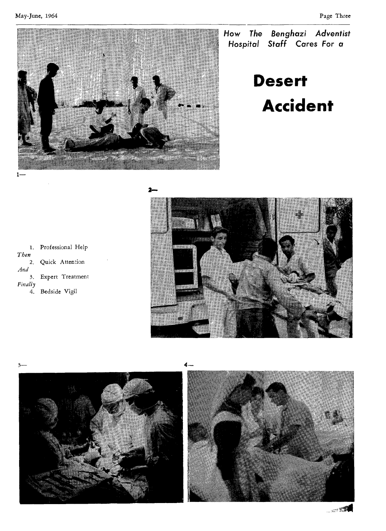May-June, 1964 Page Three



**How The Benghazi Adventist**  Hospital **Staff** Cares For a

# **Desert Accident**

1. Professional Help *Then*  2. Quick Attention *And*  3. Expert Treatment *Finally*  4. Bedside Vigil







 $\sim$   $\approx$   $\frac{1}{2}$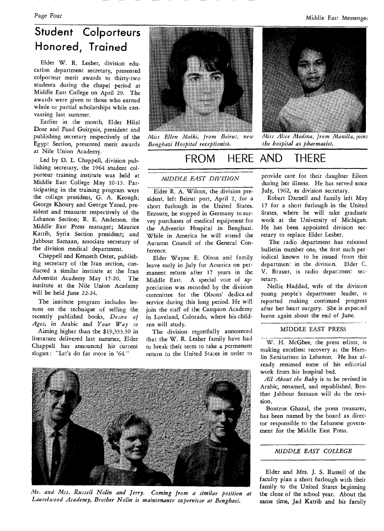# **Student Colporteurs Honored, Trained**

Elder W. R. Lesher, division education department secretary, presented colporteur merit awards to thirty-two students during the chapel period at Middle East College on April 29. The awards were given to those who earned whole or partial scholarships while canvassing last summer.

Earlier in the month, Elder Hilal Dose and Fuad *Guirguis,* president and publishing secretary respectively of the Egypt Section, presented merit awards at Nile Union Academy.

Led by D. L. Chappell, division publishing secretary, the 1964 student colporteur training institute was held at Middle East College May 10-13. Participating in the training program were the college president, G. A. Keough; George Khoury and George Yared, president and treasurer respectively of the Lebanon Section; R. E. Anderson, the Middle East *Press manager; Maurice*  Katrib, Syria Section president; and Jabbour Samaan, associate secretary of the division medical department.

Chappell and Kenneth Oster, publishing secretary of the Iran section, conducted a similar institute at the Iran Adventist Academy May 17-20. The institute at the Nile Union Academy will be held June 22-24.

The institute program includes lessons on the technique of selling the recently published books, *Desire of Ages,* in Arabic and *Your Way to*  Aiming higher than the \$19,333.30 in literature delivered last summer, Elder Chappell has announced his current slogan : "Let's do far more in '64."



*Miss Ellen Zdelki, from Beirut, new Benghazi Hospital receptionist.* 

# FROM HERE AND THERE

### *MIDDLE EAST DIVISION*

Elder R. A. Wilcox, the division president, left Beirut port, April 2, for a short furlough in the United States. Enroute, he stopped in Germany to survey purchases of medical equipment for the Adventist Hospital in Benghazi. While in America he will attend the Autumn Council of the General Conference.

Elder Wayne E. Olson and family leave early in July for America on permanent return after 17 years in the Middle East. A special vote of appreciation was recorded by the division committee for the Olsons' dedica.ed service during this long period. He will join the staff of the Campion Academy in Loveland, Colorado, where his children will study.

The division regretfully announced that the W. R. Lesher family have had to break their term to take a permanent return to the United States in order to



*Mr. and Mrs. Russell Nofin and Jerry. Coming from a similar position at Laurelwood Academy, Brother Nolin is maintenance supervisor at Benghazi.* 



*Miss Alice Medina, from Manilla, joins the hospital as pharmacist.* 

provide care for their daughter Eileen during her illness. He has served since July, 1962, as division secretary.

Robert Darnell and family left May 17 for a short furlough in the United States, where he will take graduate work at the University of Michigan. He has been appointed division secretary to replace Elder Lesher.

The radio department has released bulletin number one, the first such periodical known to be issued from this department in the division. Elder C. V. Brauer, is radio department secretary.

Nellie Haddad, wife of the division young people's department leader, is reported making continued progress after her heart surgery. *She is expected*  home again about the end of June.

#### MIDDLE EAST PRESS

W. H. McGhee, the press editor, is making excellent recovery at the Hamlin Sanitorium in Lebanon. He has already resumed some of his editorial work from his hospital bed.

*All About the Baby is* to be revised in Arabic, renamed, and republished. Brother Jabbour Semaan will do the revision.

Boutros Ghazal, the press treasurer, has been named by the board as director responsible to the Lebanese government for the Middle East Press.

#### *MIDDLE EAST COLLEGE*

Elder and Mrs. J. S. Russell of the faculty plan a short furlough with their family to the United States beginning the close of the school year. About the same time, Jad Katrib and his family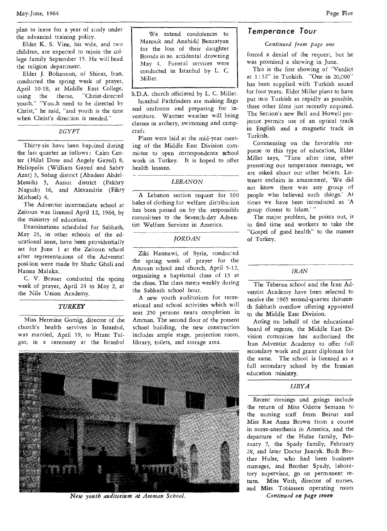plan to leave for a year of study under the advanced training policy.

Elder K. S. Vine, his wife, and two children, are expected to rejoin the college family September 15. He will head the religion department.

Elder J. Bohannon, of Shiraz, Iran, conducted the spring week of prayer, April 10-18, at Middle East College, using the theme, "Christ-directed youth." "Youth need to be directed by Christ," he said, "and youth is the time when Christ's direction is needed."

*EGYPT* 

Thirty-six have been baptized during the last quarter as follows : Cairo Center (Hilal Dose and Angely Gayed) 8, Heliopolis (William Gayed and Sabry Azar) 3, Sohag district (Abadeer Abdel-Messih) 5, Assiut district (Fakhry Naguib) 16, and Alexandria (Fikry Michael) 4.

The Adventist intermediate school at Zeitoun was licensed April 12, 1964, by the ministry of education.

Examinations scheduled for Sabbath, May 23, in other schools of the educational zone, have been providentially set for June 1 at the Zeitoun school after representations of the Adventist position were made by Shafic Ghali and Hanna Malaka.

C. V. Brauer conducted the spring week of prayer, April 24 to May 2, at the Nile Union Academy.

#### *TURKEY*

Miss Hermine Gomig, director of the church's health servives in Istanbul, was married, April 19, to Hrant Tulgar, in a ceremony at the Istanbul

We extend condolences to Manouk and Anahidd Benzatyan for the loss of their daughter Brenda in an accidental drowning May 4. Funeral services were conducted in Istanbul by L. C. Miller.

S.D.A. church officiated by L. C. Miller.

Istanbul Pathfinders are making flags and uniforms and preparing for investiture. Warmer weather will bring classes in archery, swimming and campcrafc.

Plans were laid at the mid-year meeting of the Middle East Division committee to open correspondence school work in Turkey. It is hoped to offer health lessons.

#### *LEBANON*

A Lebanon section request for 100 bales of clothing for welfare distribution has been passed on by the responsible committees to the Seventh-day Adventist Welfare Services in America.

#### *JORDAN*

Ziki Hannawi, of Syria, conducted the spring week of prayer for the Amman school and church, April 5-12, organizing a baptismal class of 13 at the close. The class meets weekly during the Sabbath school hour.

A new youth auditorium for recreational and school activities which will seat 250 persons nears completion in Amman. The second floor of the present school building, the new construction includes ample stage, projection room, library, toilets, and storage area.



*New youth auditorium at Amman School.* 

### **Temperance Tour**

*Continued from page one* 

forced a denial of the request, but he was promised a showing in June.

This is the first showing of "Verdict at 1 : 32" in Turkish. "One in 20,000" has been supplied with Turkish sound for four years. Elder Miller plans to have put into Turkish as rapidly as possible, three other films just recently acquired. The Section's new Bell and Howell projector permits use of an optical track in English and a magnetic track in Turkish.

Commenting on the favorable response to this type of education, Elder Miller says, "Time after time, after presenting our temperance message, we are asked about our other beliefs. Listeners exclaim in amazement, `We did not know there was any group of people who believed such things.' At times we have been introduced as 'A group closest to Islam.'

The major problem, he points out, is to find time and workers to take the "Gospel of good health" to the masses of Turkey.

#### *IRAN*

The Teheran school and the Iran Adventist Academy have been selected to receive the 1965 second-quarter thirteenth Sabbath overflow offering appointed to the Middle East Division.

Acting on behalf of the educational board of regents, the Middle East Division committee has authorized the Iran Adventist Academy to offer full secondary work and grant diplomas for the same. The school is licensed as a full secondary school by the Iranian education ministry.

*LIBYA* 

Recent comings and goings include the return of Miss Odette Semaan to the nursing staff from Beirut and Miss Rae Anna Brown from a course in nurse-anesthesia in America, and the departure of the Hulse family, February 7, the Spady family, February 28, and later Doctor Jancyk. Both Brother Hulse, who had been business manager, and Brother Spady, laboratory supervisor, go on permanent return. Miss Voth, director of nurses, and Miss Tobiassen operating room *Continued on page seven*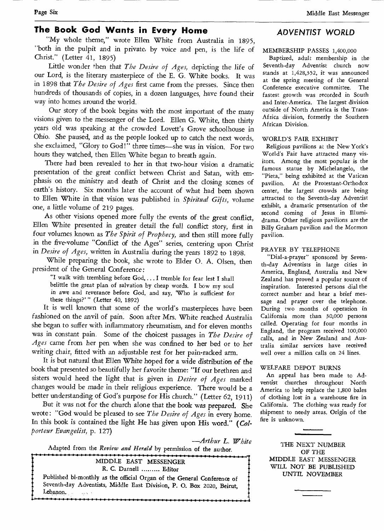Page Six Middle East Messenger

# **The Book God Wants in Every Home**

"My whole theme," wrote Ellen White from Australia in 1895, "both in the pulpit and in private, by voice and pen, is the life of Christ." (Letter 41, 1895)

Little wonder 'hen that *The Desire of Ages,* depicting the life of our Lord, is the literary masterpiece of the E. G. White books. It was in 1898 that *The Desire of Ages* first came from the presses. Since then hundreds of thousands of copies, in a dozen languages, have found their way into homes around the world.

Our story of the book begins with the most important of the many visions given to the messenger of the Lord. Ellen G. White, then thirty years old was speaking at the crowded Lovett's Grove schoolhouse in Ohio. She paused, and as the people looked up to catch the next words, she exclaimed, "Glory to God!" three times—she was in vision. For two hours they watched, then Ellen White began to breath again.

There had been revealed to her in that two-hour vision a dramatic presentation of the great conflict between Christ and Satan, with emphasis on the ministry and death of Christ and the closing scenes of earth's history. Six months later the account of what had been shown to Ellen White in that vision was published in *Spiritual Gifts,* volume one, a little volume of 219 pages.

As other visions opened more fully the events of the great conflict, Ellen White presented in greater detail the full conflict story, first in four volumes known as *The Spirit of Prophecy,* and then still more fully in the five-volume "Conflict of the Ages" series, centering upon Christ in *Desire of Ages,* written in Australia during the years 1892 to 1898.

While preparing the book, she wrote to Elder 0. A. Olsen, then president of the General Conference:

"I walk with trembling before God, ... I tremble for fear lest I shall belittle the great plan of salvation by cheap words. I bow my soul in awe and reverance before God, and say, 'Who is sufficient for these things?' " (Letter 40, 1892)

It is well known that some of the world's masterpieces have been fashioned on the anvil of pain. Soon after Mrs. White reached Australia she began to suffer with inflammatory rheumatism, and for eleven months was in constant pain. Some of the choicest passages in *The Desire of Ages* came from her pen when she was confined to her bed or to her writing chair, fitted with an adjustable rest for her pain-racked arm.

It is but natural that Ellen White hoped for a wide distribution of the book that presented so beautifully her favorite theme: "If our brethren and sisters would heed the light that is given in *Desire of Ages* marked changes would be made in their religious experience. There would be a better understanding of God's purpose for His church." (Letter 62, 1911)

But it was not for the church alone that the book was prepared. She wrote : "God would be pleased to see *The Desire of Ages* in every home. In this book is contained the light He has given upon His word." *(Colporteur Evangelist,* p. 127)

*—Arthur L. White* 

Adapted from the *Review and Herald* by permission of the author. **-4.•••••••••••••••••••••••••-•-•»•••••••••«••.•-••••••••••«•«•«•«••••••••••••••••••••••••••••1** 

MIDDLE EAST MESSENGER R. C. Darnell ......... Editor Published bi-monthly as the official Organ of the General Conference of Seventh-day Adventists, Middle East Division, P. 0. Box 2020, Beirut, Lebanon. بوردين المستقرر المستقرر المستقرر المستقرر المستقرر المستقرر المستقرر المستقرر المستقرر المستقرر المستقرر المس<br>المستقرر المستقرر المستقرر المستقرر المستقرر المستقرر المستقرر المستقرر المستقرر المستقرر المستقرر المستقرر ا

# **ADVENTIST WORLD**

#### MEMBERSHIP PASSES 1,400,000

Baptized, adult membership in the Seventh-day Adventist church now stands at 1,428,352, it was announced at the spring meeting of the General Conference executive committee. The fastest growth was recorded in South and Inter-America. The largest division outside of North America is the Trans-Africa division, formerly the Southern African Division.

#### WORLD'S FAIR EXHIBIT

Religious pavilions at the New York's World's Fair have attracted many visitors. Among the most popular is the famous statue by Michelangelo, the "Pieta," being exhibited at the Vatican pavilion. At the Protestant-Orthodox center, the largest crowds are being attracted to the Seventh-day Adventist exhibit, a dramatic presentation of the second coming of Jesus in Illumidrama. Other religious pavilions are the Billy Graham pavilion and the Mormon pavilion.

#### PRAYER BY TELEPHONE

"Dial-a-prayer" sponsored by Seventh-day Adventists in large cities in America, England, Australia and New Zealand has proved a popular source of inspiration. Interested persons dial the correct number and hear a brief message and prayer over the telephone. During two months of operation in California more than 30,000 persons called. Operating for four months in England, the program received 100,000 calls, and in New Zealand and Australia similar services have received well over a million calls on 24 lines.

#### WELFARE DEPOT BURNS

An appeal has been made to Adventist *churches* throughout North America to help replace the 1,800 bales of clothing lost in a warehouse fire in California. The clothing was ready for shipment to needy areas. Origin of the fire is unknown.

THE NEXT NUMBER OF THE MIDDLE EAST MESSENGER WILL NOT BE PUBLISHED UNTIL NOVEMBER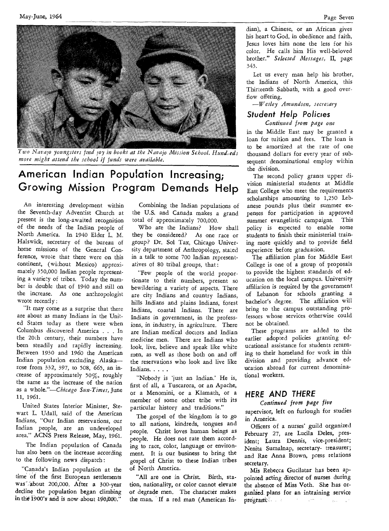



*'Iwo Navajo youngsters find joy in books at the Navajo Mission School. Hund,eds more might attend the school if funds were available.* 

# **American Indian Population Increasing; Growing Mission Program Demands Help**

An interesting development within the Seventh-day Adventist Church at present is the long-awaited recognition of the needs of the Indian people of North America. In 1940 Elder L. M. Halswick, secretary of the bureau of home missions of the General Conference, wrote that there were on this continent, (without Mexico) approximately 350,000 Indian people representing a variety of tribes. Today the number is double that of 1940 and still on the increase. As one anthropologist wrote recently :

"It may come as a surprise that there are about as many Indians in the United States today as there were when Columbus discovered America . . . In the 20th century, their numbers have been steadily and rapidly increasing. Between 1930 and 1960 the American Indian population excluding Alaska rose from 332, 397, to 508, 665, an increase of approximately 50%, roughly the same as the increase of the nation as a *whole."—Chicago Sun-Times,* June 11, 1961.

United States Interior Minister, Stewart L. Udall, said of the American Indians, "Our Indian reservations, our Indian people, are an undeveloped area." ACNS Press Release, May, 1961.

The Indian population of Canada has also been on the increase according to the following news dispatch:

"Canada's Indian population at the time of the first European settlements was' about 200,000. After a 300-year decline the population began climbing in the 1900's and is now about 190,000."

Combining the Indian populations of the U.S. and Canada makes a grand total of approximately 700,000.

Who are the Indians? How shall they be considered? As one race or group? Dr. Sol Tax, Chicago University department of Anthropology, stated in a talk to some 700 Indian representatives of 80 tribal groups, that :

"Few people of the world proportionate to their numbers, present so bewildering a variety of aspects. There are city Indians and country Indians, hills Indians and plains Indians, forest Indians, coastal Indians. There are Indians in government, in the professions, in industry, in agriculture. There are Indian medical doctors and Indian medicine men. There are Indians who look, live, believe and speak like white men, as well as those both on and off the reservations who look and live like Indians. . . . .

"Nobody is 'just an Indian.' He is, first of all, a Tuscarora, or an Apache, or a Menomini, or a Klamath, or a member of some other tribe with its particular history and traditions."

The gospel of the kingdom is to go to all nations, kindreds, tongues and people. Christ loves human beings as people. He does not rate them according to race, color, language or environment. It is our business to bring the gospel of Christ to these Indian tribes of North America.

"All are one in Christ. Birth, station, nationality, or color cannot elevate or degrade men. The character makes the man. If a red man (American In-

dian), a Chinese, or an African gives his heart to God, in obedience and faith, Jesus loves him none the less for his color. He calls him His well-beloved brother." *Selected Messages,* II, page 343.

Let us every man help his brother, the Indians of North America, this Thirteenth Sabbath, with a good overflow offering.

*—Wesley Amundsen, secretary* 

# **Student Help Policies**

*Continued from page one*  in the Middle East may be granted a loan for tuition and fees. The loan is to be amortized at the rate of one thousand dollars for every year of sub-

sequent denominational employ within

the division. The second policy grants upper division ministerial students at Middle East College who meet the requirements scholarships amounting to 1,250 Lebanese pounds plus their summer expenses for participation in approved summer evangelistic campaigns. This policy is expected to enable some students to finish their ministerial training more quickly and to provide field experience before graduation.

The affiliation plan for Middle East College is one of a group of proposals to provide the highest standards of education on the local campus. University affiliation is required by the government of Lebanon for schools granting a bachelor's degree. The affiliation will bring to the campus outstanding professors whose services otherwise could not be obtained.

These programs are added to the earlier adopted policies granting educational assistance for students returning to their homeland for work *in* this division and providing advance education abroad for current denominational workers.

### **HERE AND THERE**

#### *Continued from page five*

supervisor, *left* on furlough for studies in America.

Officers of a nurses' guild organized February 27, are Lucila Deles, president; Laura Dennis, vice-president; Nenita Sumalnap, secretary- treasurer; and Rae Anna Brown, press relations secretary.

Mis Rebecca Gucilatar has been appointed acting director of nurses during the absence of Miss Voth. She has organized plans for an intraining service program.  $\mathcal{L}_{\mathcal{A}}$  value  $\mathcal{A}$  .  $\sim 10^{11}$  m  $^{-1}$